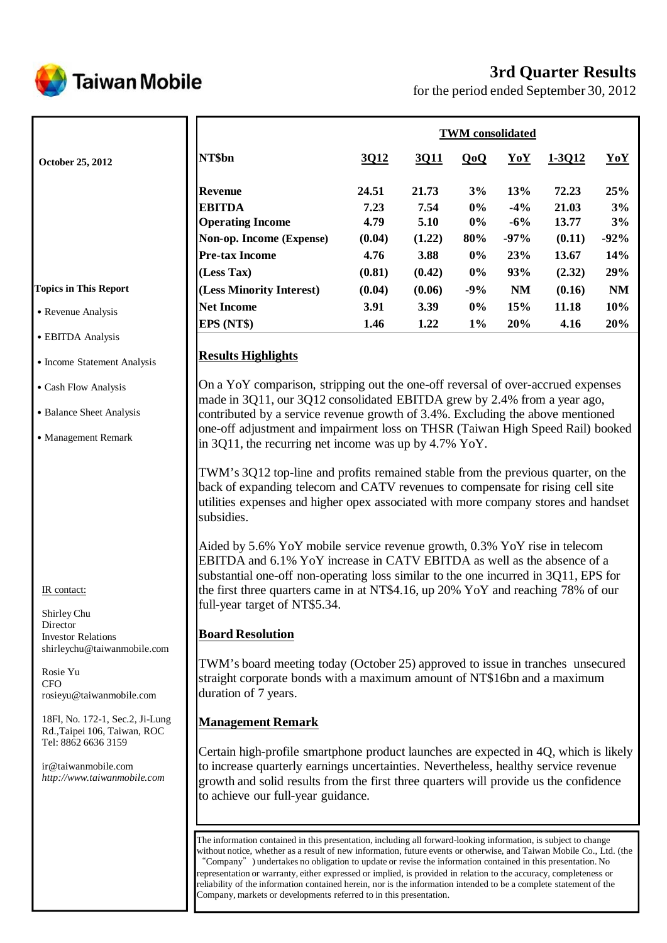

# **3rd Quarter Results**

for the period ended September 30, 2012

|                                                                                                                                                      |                                                                                                                                                                                                                                                                                                                                                                                                                                                                                                                                                                                                                                             | <b>TWM</b> consolidated |                       |                      |                        |                         |                 |
|------------------------------------------------------------------------------------------------------------------------------------------------------|---------------------------------------------------------------------------------------------------------------------------------------------------------------------------------------------------------------------------------------------------------------------------------------------------------------------------------------------------------------------------------------------------------------------------------------------------------------------------------------------------------------------------------------------------------------------------------------------------------------------------------------------|-------------------------|-----------------------|----------------------|------------------------|-------------------------|-----------------|
| October 25, 2012                                                                                                                                     | NT\$bn                                                                                                                                                                                                                                                                                                                                                                                                                                                                                                                                                                                                                                      | 3Q12                    | 3Q11                  | QoQ                  | YoY                    | 1-3012                  | YoY             |
|                                                                                                                                                      | <b>Revenue</b><br><b>EBITDA</b><br><b>Operating Income</b>                                                                                                                                                                                                                                                                                                                                                                                                                                                                                                                                                                                  | 24.51<br>7.23<br>4.79   | 21.73<br>7.54<br>5.10 | 3%<br>$0\%$<br>$0\%$ | 13%<br>$-4%$<br>$-6\%$ | 72.23<br>21.03<br>13.77 | 25%<br>3%<br>3% |
|                                                                                                                                                      | Non-op. Income (Expense)                                                                                                                                                                                                                                                                                                                                                                                                                                                                                                                                                                                                                    | (0.04)                  | (1.22)                | 80%                  | $-97%$                 | (0.11)                  | $-92%$          |
|                                                                                                                                                      | <b>Pre-tax Income</b>                                                                                                                                                                                                                                                                                                                                                                                                                                                                                                                                                                                                                       | 4.76                    | 3.88                  | $0\%$                | 23%                    | 13.67                   | 14%             |
|                                                                                                                                                      | (Less Tax)                                                                                                                                                                                                                                                                                                                                                                                                                                                                                                                                                                                                                                  | (0.81)                  | (0.42)                | $0\%$                | 93%                    | (2.32)                  | 29%             |
| <b>Topics in This Report</b>                                                                                                                         | (Less Minority Interest)                                                                                                                                                                                                                                                                                                                                                                                                                                                                                                                                                                                                                    | (0.04)                  | (0.06)                | $-9%$                | NM                     | (0.16)                  | NM              |
| • Revenue Analysis                                                                                                                                   | <b>Net Income</b>                                                                                                                                                                                                                                                                                                                                                                                                                                                                                                                                                                                                                           | 3.91                    | 3.39                  | $0\%$                | 15%                    | 11.18                   | 10%             |
|                                                                                                                                                      | EPS (NT\$)                                                                                                                                                                                                                                                                                                                                                                                                                                                                                                                                                                                                                                  | 1.46                    | 1.22                  | $1\%$                | 20%                    | 4.16                    | 20%             |
| • EBITDA Analysis                                                                                                                                    |                                                                                                                                                                                                                                                                                                                                                                                                                                                                                                                                                                                                                                             |                         |                       |                      |                        |                         |                 |
| • Income Statement Analysis                                                                                                                          | <b>Results Highlights</b>                                                                                                                                                                                                                                                                                                                                                                                                                                                                                                                                                                                                                   |                         |                       |                      |                        |                         |                 |
| • Cash Flow Analysis                                                                                                                                 | On a YoY comparison, stripping out the one-off reversal of over-accrued expenses<br>made in 3Q11, our 3Q12 consolidated EBITDA grew by 2.4% from a year ago,                                                                                                                                                                                                                                                                                                                                                                                                                                                                                |                         |                       |                      |                        |                         |                 |
| • Balance Sheet Analysis                                                                                                                             | contributed by a service revenue growth of 3.4%. Excluding the above mentioned                                                                                                                                                                                                                                                                                                                                                                                                                                                                                                                                                              |                         |                       |                      |                        |                         |                 |
| • Management Remark                                                                                                                                  | one-off adjustment and impairment loss on THSR (Taiwan High Speed Rail) booked<br>in 3Q11, the recurring net income was up by $4.7\%$ YoY.                                                                                                                                                                                                                                                                                                                                                                                                                                                                                                  |                         |                       |                      |                        |                         |                 |
| IR contact:<br>Shirley Chu                                                                                                                           | TWM's 3Q12 top-line and profits remained stable from the previous quarter, on the<br>back of expanding telecom and CATV revenues to compensate for rising cell site<br>utilities expenses and higher opex associated with more company stores and handset<br>subsidies.<br>Aided by 5.6% YoY mobile service revenue growth, 0.3% YoY rise in telecom<br>EBITDA and 6.1% YoY increase in CATV EBITDA as well as the absence of a<br>substantial one-off non-operating loss similar to the one incurred in 3Q11, EPS for<br>the first three quarters came in at NT\$4.16, up 20% YoY and reaching 78% of our<br>full-year target of NT\$5.34. |                         |                       |                      |                        |                         |                 |
| Director<br><b>Investor Relations</b>                                                                                                                | <b>Board Resolution</b>                                                                                                                                                                                                                                                                                                                                                                                                                                                                                                                                                                                                                     |                         |                       |                      |                        |                         |                 |
| shirleychu@taiwanmobile.com<br>Rosie Yu<br><b>CFO</b><br>rosieyu@taiwanmobile.com<br>18Fl, No. 172-1, Sec.2, Ji-Lung<br>Rd., Taipei 106, Taiwan, ROC | TWM's board meeting today (October 25) approved to issue in tranches unsecured<br>straight corporate bonds with a maximum amount of NT\$16bn and a maximum<br>duration of 7 years.<br><b>Management Remark</b>                                                                                                                                                                                                                                                                                                                                                                                                                              |                         |                       |                      |                        |                         |                 |
| Tel: 8862 6636 3159<br>ir@taiwanmobile.com<br>http://www.taiwanmobile.com                                                                            | Certain high-profile smartphone product launches are expected in 4Q, which is likely<br>to increase quarterly earnings uncertainties. Nevertheless, healthy service revenue<br>growth and solid results from the first three quarters will provide us the confidence<br>to achieve our full-year guidance.                                                                                                                                                                                                                                                                                                                                  |                         |                       |                      |                        |                         |                 |
|                                                                                                                                                      | The information contained in this presentation, including all forward-looking information, is subject to change<br>without notice, whether as a result of new information, future events or otherwise, and Taiwan Mobile Co., Ltd. (the<br>"Company" ) undertakes no obligation to undate or revise the information contained in this presentation $\overline{N}$                                                                                                                                                                                                                                                                           |                         |                       |                      |                        |                         |                 |

ompany") undertakes no obligation to update or revise the information contained in this presentation. No representation or warranty, either expressed or implied, is provided in relation to the accuracy, completeness or reliability of the information contained herein, nor is the information intended to be a complete statement of the Company, markets or developments referred to in this presentation.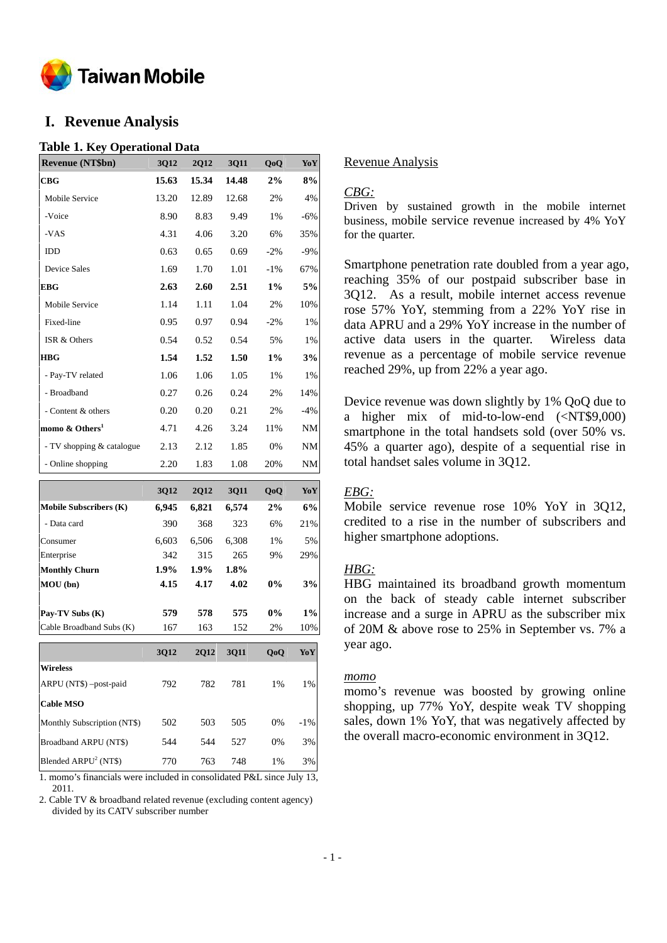

# **I. Revenue Analysis**

#### **Table 1. Key Operational Data**

| <b>Revenue (NT\$bn)</b>                     | 3Q12            | 2Q12         | <b>3Q11</b>  | QoQ         | YoY          |
|---------------------------------------------|-----------------|--------------|--------------|-------------|--------------|
| CBG                                         | 15.63           | 15.34        | 14.48        | 2%          | 8%           |
| Mobile Service                              | 13.20           | 12.89        | 12.68        | 2%          | 4%           |
| -Voice                                      | 8.90            | 8.83         | 9.49         | 1%          | $-6%$        |
| -VAS                                        | 4.31            | 4.06         | 3.20         | 6%          | 35%          |
| IDD                                         | 0.63            | 0.65         | 0.69         | $-2\%$      | $-9%$        |
| <b>Device Sales</b>                         | 1.69            | 1.70         | 1.01         | $-1\%$      | 67%          |
| EBG                                         | 2.63            | 2.60         | 2.51         | $1\%$       | 5%           |
| Mobile Service                              | 1.14            | 1.11         | 1.04         | 2%          | 10%          |
| Fixed-line                                  | 0.95            | 0.97         | 0.94         | $-2\%$      | 1%           |
| ISR & Others                                | 0.54            | 0.52         | 0.54         | 5%          | 1%           |
| HBG                                         | 1.54            | 1.52         | 1.50         | $1\%$       | 3%           |
| - Pay-TV related                            | 1.06            | 1.06         | 1.05         | 1%          | 1%           |
| - Broadband                                 | 0.27            | 0.26         | 0.24         | 2%          | 14%          |
| - Content & others                          | 0.20            | 0.20         | 0.21         | 2%          | $-4%$        |
| momo & Others <sup>1</sup>                  | 4.71            | 4.26         | 3.24         | 11%         | NM           |
| - TV shopping & catalogue                   | 2.13            | 2.12         | 1.85         | 0%          | NM           |
| - Online shopping                           | 2.20            | 1.83         | 1.08         | 20%         | NΜ           |
|                                             | 3Q12            | 2Q12         | 3Q11         | QoQ         | YoY          |
| Mobile Subscribers (K)                      | 6,945           | 6,821        | 6,574        | $2\%$       | 6%           |
| - Data card                                 | 390             | 368          | 323          | 6%          | 21%          |
| Consumer                                    | 6,603           | 6,506        | 6,308        | 1%          | 5%           |
| Enterprise                                  | 342             | 315          | 265          | 9%          | 29%          |
| <b>Monthly Churn</b><br>MOU (bn)            | $1.9\%$<br>4.15 | 1.9%<br>4.17 | 1.8%<br>4.02 | $0\%$       | 3%           |
|                                             |                 |              |              |             |              |
| Pay-TV Subs (K)<br>Cable Broadband Subs (K) | 579<br>167      | 578<br>163   | 575<br>152   | $0\%$<br>2% | $1\%$<br>10% |
|                                             |                 |              |              |             |              |
|                                             | 3Q12            | 2Q12         | 3Q11         | QoQ         | YoY          |
| <b>Wireless</b>                             |                 |              |              |             |              |
| ARPU (NT\$) -post-paid                      | 792             | 782          | 781          | 1%          | 1%           |
| <b>Cable MSO</b>                            |                 |              |              |             |              |
| Monthly Subscription (NT\$)                 | 502             | 503          | 505          | 0%          | $-1\%$       |
| Broadband ARPU (NT\$)                       | 544             | 544          | 527          | 0%          | 3%           |
| Blended ARPU <sup>2</sup> (NT\$)            | 770             | 763          | 748          | 1%          | 3%           |

1. momo's financials were included in consolidated P&L since July 13, 2011.

2. Cable TV & broadband related revenue (excluding content agency) divided by its CATV subscriber number

#### Revenue Analysis

# *CBG:*

Driven by sustained growth in the mobile internet business, mobile service revenue increased by 4% YoY for the quarter.

Smartphone penetration rate doubled from a year ago, reaching 35% of our postpaid subscriber base in 3Q12. As a result, mobile internet access revenue rose 57% YoY, stemming from a 22% YoY rise in data APRU and a 29% YoY increase in the number of active data users in the quarter. Wireless data revenue as a percentage of mobile service revenue reached 29%, up from 22% a year ago.

Device revenue was down slightly by 1% QoQ due to a higher mix of mid-to-low-end (<NT\$9,000) smartphone in the total handsets sold (over 50% vs. 45% a quarter ago), despite of a sequential rise in total handset sales volume in 3Q12.

### *EBG:*

Mobile service revenue rose 10% YoY in 3Q12, credited to a rise in the number of subscribers and higher smartphone adoptions.

### *HBG:*

HBG maintained its broadband growth momentum on the back of steady cable internet subscriber increase and a surge in APRU as the subscriber mix of 20M & above rose to 25% in September vs. 7% a year ago.

#### *momo*

momo's revenue was boosted by growing online shopping, up 77% YoY, despite weak TV shopping sales, down 1% YoY, that was negatively affected by the overall macro-economic environment in 3Q12.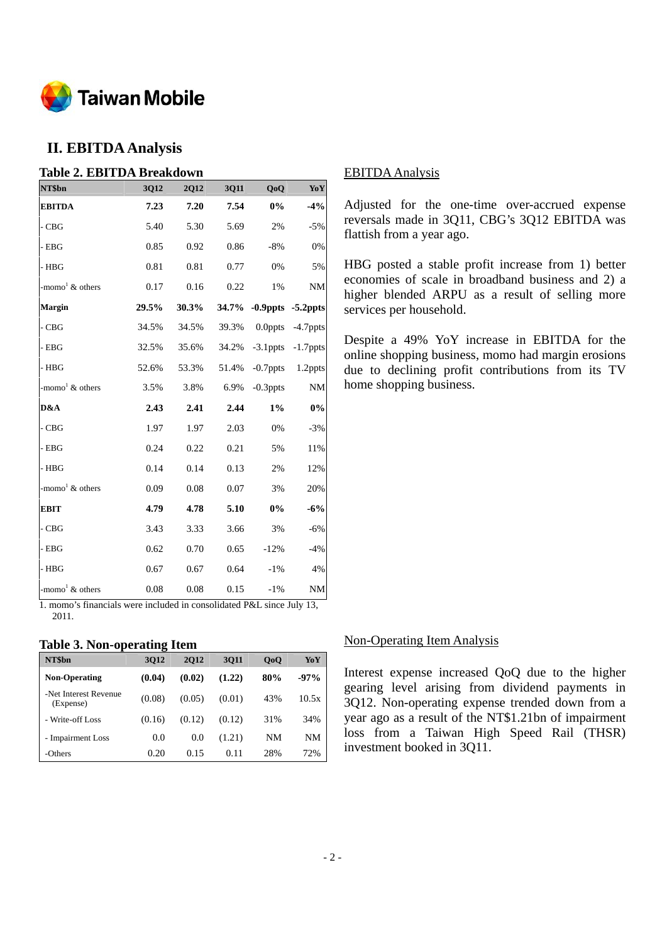

# **II. EBITDA Analysis**

| <b>Table 2. EBITDA Breakdown</b>  |       |             |       |             |             |
|-----------------------------------|-------|-------------|-------|-------------|-------------|
| NT\$bn                            | 3Q12  | <b>2Q12</b> | 3Q11  | QoQ         | YoY         |
| <b>EBITDA</b>                     | 7.23  | 7.20        | 7.54  | 0%          | $-4%$       |
| - CBG                             | 5.40  | 5.30        | 5.69  | 2%          | $-5%$       |
| - EBG                             | 0.85  | 0.92        | 0.86  | $-8%$       | 0%          |
| $-$ HBG                           | 0.81  | 0.81        | 0.77  | 0%          | 5%          |
| -momo <sup>1</sup> & others       | 0.17  | 0.16        | 0.22  | 1%          | <b>NM</b>   |
| Margin                            | 29.5% | 30.3%       | 34.7% | $-0.9$ ppts | $-5.2$ ppts |
| $\mathbf{-C}\mathbf{B}\mathbf{G}$ | 34.5% | 34.5%       | 39.3% | $0.0$ ppts  | $-4.7$ ppts |
| - EBG                             | 32.5% | 35.6%       | 34.2% | $-3.1$ ppts | $-1.7$ ppts |
| - HBG                             | 52.6% | 53.3%       | 51.4% | $-0.7$ ppts | 1.2ppts     |
| -momo <sup>1</sup> $\&$ others    | 3.5%  | 3.8%        | 6.9%  | $-0.3$ ppts | $\rm{NM}$   |
| D&A                               | 2.43  | 2.41        | 2.44  | $1\%$       | $0\%$       |
| - CBG                             | 1.97  | 1.97        | 2.03  | 0%          | $-3%$       |
| $-$ EBG                           | 0.24  | 0.22        | 0.21  | 5%          | 11%         |
| - HBG                             | 0.14  | 0.14        | 0.13  | 2%          | 12%         |
| -momo <sup>1</sup> & others       | 0.09  | 0.08        | 0.07  | 3%          | 20%         |
| <b>EBIT</b>                       | 4.79  | 4.78        | 5.10  | $0\%$       | $-6%$       |
| $-CBG$                            | 3.43  | 3.33        | 3.66  | 3%          | $-6%$       |
| - EBG                             | 0.62  | 0.70        | 0.65  | $-12%$      | $-4%$       |
| $-$ HBG                           | 0.67  | 0.67        | 0.64  | $-1\%$      | 4%          |
| -momo <sup>1</sup> $\&$ others    | 0.08  | 0.08        | 0.15  | $-1%$       | NM          |

1. momo's financials were included in consolidated P&L since July 13, 2011.

### **Table 3. Non-operating Item**

| NT\$bn                             | <b>3Q12</b> | <b>2012</b> | 3011   | 0 <sub>0</sub> | YoY       |
|------------------------------------|-------------|-------------|--------|----------------|-----------|
| <b>Non-Operating</b>               | (0.04)      | (0.02)      | (1.22) | 80%            | $-97%$    |
| -Net Interest Revenue<br>(Expense) | (0.08)      | (0.05)      | (0.01) | 43%            | 10.5x     |
| - Write-off Loss                   | (0.16)      | (0.12)      | (0.12) | 31%            | 34%       |
| - Impairment Loss                  | 0.0         | 0.0         | (1.21) | <b>NM</b>      | <b>NM</b> |
| -Others                            | 0.20        | 0.15        | 0.11   | 28%            | 72%       |

#### EBITDA Analysis

Adjusted for the one-time over-accrued expense reversals made in 3Q11, CBG's 3Q12 EBITDA was flattish from a year ago.

HBG posted a stable profit increase from 1) better economies of scale in broadband business and 2) a higher blended ARPU as a result of selling more services per household.

Despite a 49% YoY increase in EBITDA for the online shopping business, momo had margin erosions due to declining profit contributions from its TV home shopping business.

#### Non-Operating Item Analysis

Interest expense increased QoQ due to the higher gearing level arising from dividend payments in 3Q12. Non-operating expense trended down from a year ago as a result of the NT\$1.21bn of impairment loss from a Taiwan High Speed Rail (THSR) investment booked in 3Q11.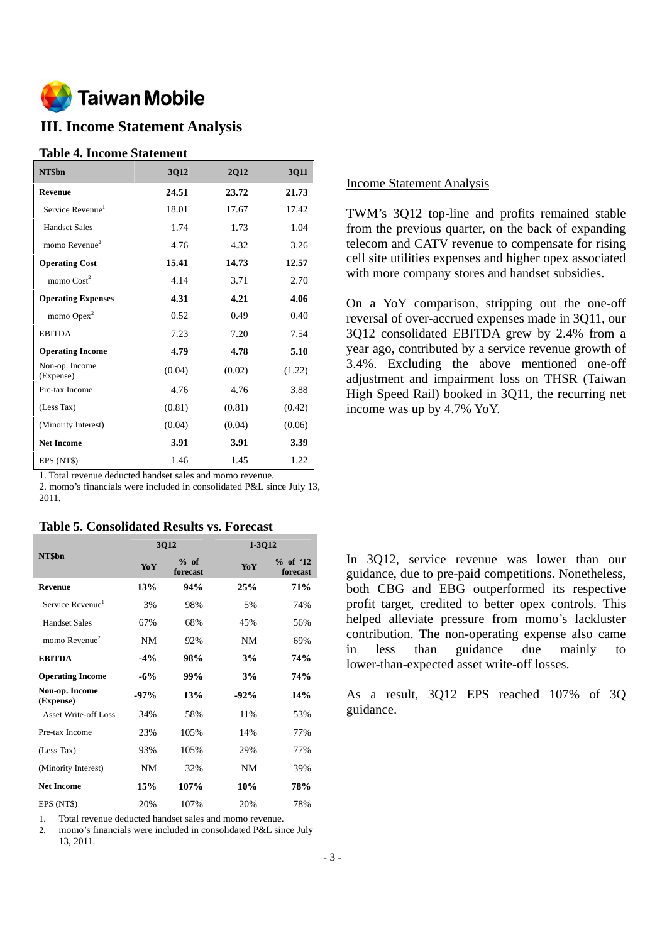

# **III. Income Statement Analysis**

#### **Table 4. Income Statement**

| NT\$bn                       | <b>3Q12</b> | <b>2Q12</b> | 3Q11   |
|------------------------------|-------------|-------------|--------|
| <b>Revenue</b>               | 24.51       | 23.72       | 21.73  |
| Service Revenue <sup>1</sup> | 18.01       | 17.67       | 17.42  |
| <b>Handset Sales</b>         | 1.74        | 1.73        | 1.04   |
| momo Revenue $2$             | 4.76        | 4.32        | 3.26   |
| <b>Operating Cost</b>        | 15.41       | 14.73       | 12.57  |
| momo $Cost2$                 | 4.14        | 3.71        | 2.70   |
| <b>Operating Expenses</b>    | 4.31        | 4.21        | 4.06   |
| momo $Opex2$                 | 0.52        | 0.49        | 0.40   |
| <b>EBITDA</b>                | 7.23        | 7.20        | 7.54   |
| <b>Operating Income</b>      | 4.79        | 4.78        | 5.10   |
| Non-op. Income<br>(Expense)  | (0.04)      | (0.02)      | (1.22) |
| Pre-tax Income               | 4.76        | 4.76        | 3.88   |
| (Less Tax)                   | (0.81)      | (0.81)      | (0.42) |
| (Minority Interest)          | (0.04)      | (0.04)      | (0.06) |
| <b>Net Income</b>            | 3.91        | 3.91        | 3.39   |
| EPS (NT\$)                   | 1.46        | 1.45        | 1.22   |

1. Total revenue deducted handset sales and momo revenue.

2. momo's financials were included in consolidated P&L since July 13, 2011.

|  |  | <b>Table 5. Consolidated Results vs. Forecast</b> |  |  |
|--|--|---------------------------------------------------|--|--|
|--|--|---------------------------------------------------|--|--|

|                              |            | 3Q12               | 1-3Q12     |                        |
|------------------------------|------------|--------------------|------------|------------------------|
| NT\$bn                       | YoY        | $%$ of<br>forecast | <b>YoY</b> | $%$ of '12<br>forecast |
| <b>Revenue</b>               | <b>13%</b> | 94%                | 25%        | 71%                    |
| Service Revenue <sup>1</sup> | 3%         | 98%                | 5%         | 74%                    |
| <b>Handset Sales</b>         | 67%        | 68%                | 45%        | 56%                    |
| momo Revenue $2$             | NM         | 92%                | NM         | 69%                    |
| <b>EBITDA</b>                | $-4\%$     | 98%                | 3%         | 74%                    |
| <b>Operating Income</b>      | $-6\%$     | 99%                | 3%         | 74%                    |
| Non-op. Income<br>(Expense)  | $-97\%$    | 13%                | $-92%$     | 14%                    |
| <b>Asset Write-off Loss</b>  | 34%        | 58%                | 11%        | 53%                    |
| Pre-tax Income               | 23%        | 105%               | 14%        | 77%                    |
| (Less Tax)                   | 93%        | 105%               | 29%        | 77%                    |
| (Minority Interest)          | NM         | 32%                | NM         | 39%                    |
| <b>Net Income</b>            | 15%        | 107%               | 10%        | 78%                    |
| EPS (NT\$)                   | 20%        | 107%               | 20%        | 78%                    |

1. Total revenue deducted handset sales and momo revenue.

2. momo's financials were included in consolidated P&L since July 13, 2011.

### Income Statement Analysis

TWM's 3Q12 top-line and profits remained stable from the previous quarter, on the back of expanding telecom and CATV revenue to compensate for rising cell site utilities expenses and higher opex associated with more company stores and handset subsidies.

On a YoY comparison, stripping out the one-off reversal of over-accrued expenses made in 3Q11, our 3Q12 consolidated EBITDA grew by 2.4% from a year ago, contributed by a service revenue growth of 3.4%. Excluding the above mentioned one-off adjustment and impairment loss on THSR (Taiwan High Speed Rail) booked in 3Q11, the recurring net income was up by 4.7% YoY.

In 3Q12, service revenue was lower than our guidance, due to pre-paid competitions. Nonetheless, both CBG and EBG outperformed its respective profit target, credited to better opex controls. This helped alleviate pressure from momo's lackluster contribution. The non-operating expense also came in less than guidance due mainly to lower-than-expected asset write-off losses.

As a result, 3Q12 EPS reached 107% of 3Q guidance.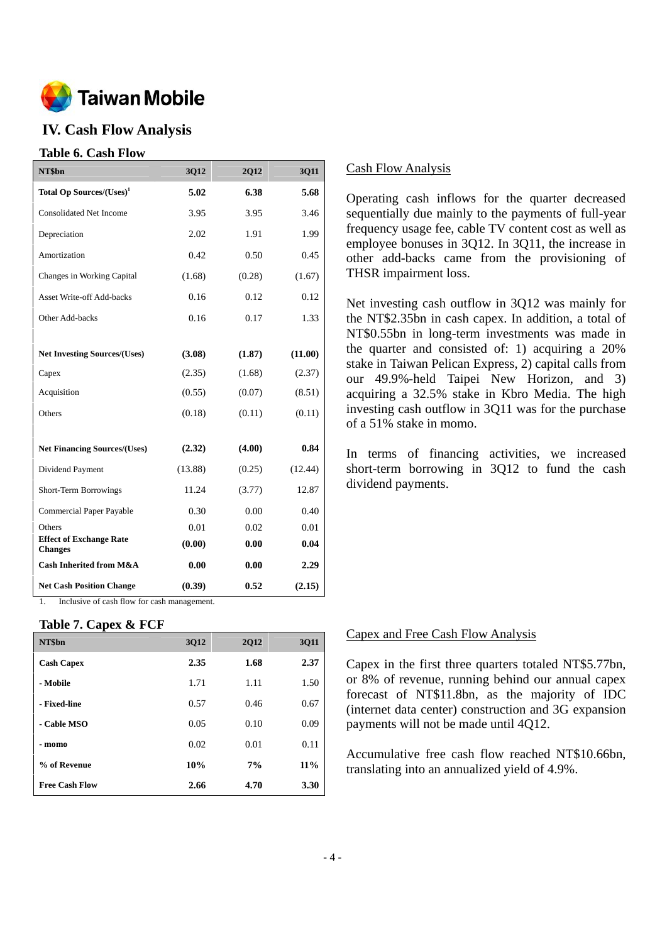

# **IV. Cash Flow Analysis**

### **Table 6. Cash Flow**

| NT\$bn                                           | 3Q12    | 2Q12   | 3Q11    |
|--------------------------------------------------|---------|--------|---------|
| Total Op Sources/(Uses) <sup>1</sup>             | 5.02    | 6.38   | 5.68    |
| <b>Consolidated Net Income</b>                   | 3.95    | 3.95   | 3.46    |
| Depreciation                                     | 2.02    | 1.91   | 1.99    |
| Amortization                                     | 0.42    | 0.50   | 0.45    |
| Changes in Working Capital                       | (1.68)  | (0.28) | (1.67)  |
| <b>Asset Write-off Add-backs</b>                 | 0.16    | 0.12   | 0.12    |
| Other Add-backs                                  | 0.16    | 0.17   | 1.33    |
|                                                  |         |        |         |
| <b>Net Investing Sources/(Uses)</b>              | (3.08)  | (1.87) | (11.00) |
| Capex                                            | (2.35)  | (1.68) | (2.37)  |
| Acquisition                                      | (0.55)  | (0.07) | (8.51)  |
| Others                                           | (0.18)  | (0.11) | (0.11)  |
|                                                  |         |        |         |
| <b>Net Financing Sources/(Uses)</b>              | (2.32)  | (4.00) | 0.84    |
| Dividend Payment                                 | (13.88) | (0.25) | (12.44) |
| <b>Short-Term Borrowings</b>                     | 11.24   | (3.77) | 12.87   |
| Commercial Paper Payable                         | 0.30    | 0.00   | 0.40    |
| Others                                           | 0.01    | 0.02   | 0.01    |
| <b>Effect of Exchange Rate</b><br><b>Changes</b> | (0.00)  | 0.00   | 0.04    |
| <b>Cash Inherited from M&amp;A</b>               | 0.00    | 0.00   | 2.29    |
| <b>Net Cash Position Change</b>                  | (0.39)  | 0.52   | (2.15)  |

1. Inclusive of cash flow for cash management.

# **Table 7. Capex & FCF**

| NT\$bn                | 3012 | <b>2012</b> | 3011   |
|-----------------------|------|-------------|--------|
| <b>Cash Capex</b>     | 2.35 | 1.68        | 2.37   |
| - Mobile              | 1.71 | 1.11        | 1.50   |
| - Fixed-line          | 0.57 | 0.46        | 0.67   |
| - Cable MSO           | 0.05 | 0.10        | 0.09   |
| - momo                | 0.02 | 0.01        | 0.11   |
| % of Revenue          | 10%  | 7%          | $11\%$ |
| <b>Free Cash Flow</b> | 2.66 | 4.70        | 3.30   |

## Cash Flow Analysis

Operating cash inflows for the quarter decreased sequentially due mainly to the payments of full-year frequency usage fee, cable TV content cost as well as employee bonuses in 3Q12. In 3Q11, the increase in other add-backs came from the provisioning of THSR impairment loss.

Net investing cash outflow in 3Q12 was mainly for the NT\$2.35bn in cash capex. In addition, a total of NT\$0.55bn in long-term investments was made in the quarter and consisted of: 1) acquiring a 20% stake in Taiwan Pelican Express, 2) capital calls from our 49.9%-held Taipei New Horizon, and 3) acquiring a 32.5% stake in Kbro Media. The high investing cash outflow in 3Q11 was for the purchase of a 51% stake in momo.

In terms of financing activities, we increased short-term borrowing in 3Q12 to fund the cash dividend payments.

#### Capex and Free Cash Flow Analysis

Capex in the first three quarters totaled NT\$5.77bn, or 8% of revenue, running behind our annual capex forecast of NT\$11.8bn, as the majority of IDC (internet data center) construction and 3G expansion payments will not be made until 4Q12.

Accumulative free cash flow reached NT\$10.66bn, translating into an annualized yield of 4.9%.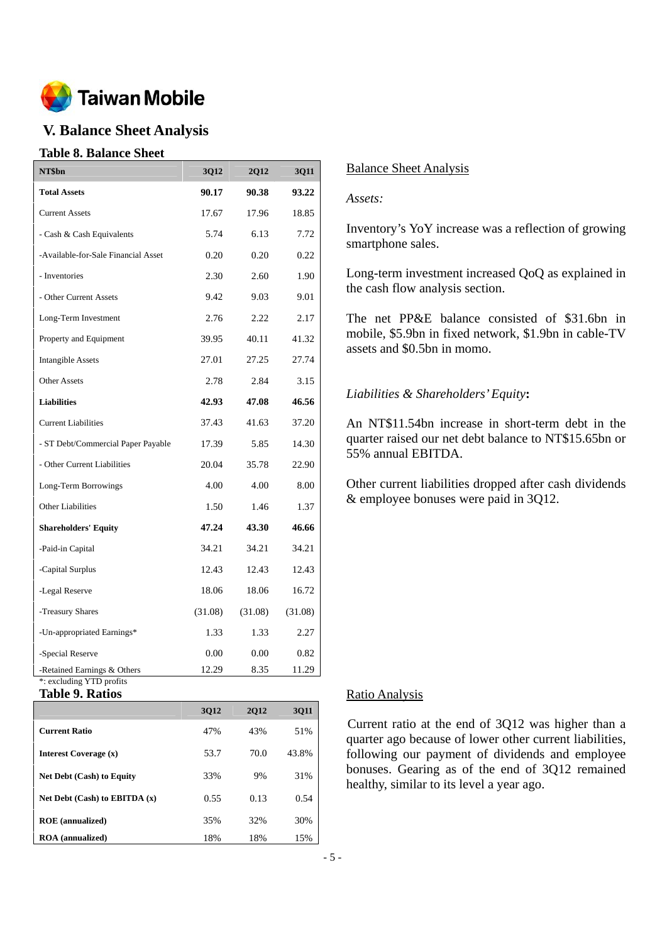

# **V. Balance Sheet Analysis**

## **Table 8. Balance Sheet**

| NT\$bn                                                  | 3Q12    | 2Q12    | 3Q11    |
|---------------------------------------------------------|---------|---------|---------|
| <b>Total Assets</b>                                     | 90.17   | 90.38   | 93.22   |
| <b>Current Assets</b>                                   | 17.67   | 17.96   | 18.85   |
| - Cash & Cash Equivalents                               | 5.74    | 6.13    | 7.72    |
| -Available-for-Sale Financial Asset                     | 0.20    | 0.20    | 0.22    |
| - Inventories                                           | 2.30    | 2.60    | 1.90    |
| - Other Current Assets                                  | 9.42    | 9.03    | 9.01    |
| Long-Term Investment                                    | 2.76    | 2.22    | 2.17    |
| Property and Equipment                                  | 39.95   | 40.11   | 41.32   |
| <b>Intangible Assets</b>                                | 27.01   | 27.25   | 27.74   |
| <b>Other Assets</b>                                     | 2.78    | 2.84    | 3.15    |
| <b>Liabilities</b>                                      | 42.93   | 47.08   | 46.56   |
| <b>Current Liabilities</b>                              | 37.43   | 41.63   | 37.20   |
| - ST Debt/Commercial Paper Payable                      | 17.39   | 5.85    | 14.30   |
| - Other Current Liabilities                             | 20.04   | 35.78   | 22.90   |
| Long-Term Borrowings                                    | 4.00    | 4.00    | 8.00    |
| Other Liabilities                                       | 1.50    | 1.46    | 1.37    |
| <b>Shareholders' Equity</b>                             | 47.24   | 43.30   | 46.66   |
| -Paid-in Capital                                        | 34.21   | 34.21   | 34.21   |
| -Capital Surplus                                        | 12.43   | 12.43   | 12.43   |
| -Legal Reserve                                          | 18.06   | 18.06   | 16.72   |
| -Treasury Shares                                        | (31.08) | (31.08) | (31.08) |
| -Un-appropriated Earnings*                              | 1.33    | 1.33    | 2.27    |
| -Special Reserve                                        | 0.00    | 0.00    | 0.82    |
| -Retained Earnings & Others<br>*: excluding YTD profits | 12.29   | 8.35    | 11.29   |

**Table 9. Ratios** 

|                                   | 3012 | 2012 | <b>3011</b> |
|-----------------------------------|------|------|-------------|
| <b>Current Ratio</b>              | 47%  | 43%  | 51%         |
| Interest Coverage (x)             | 53.7 | 70.0 | 43.8%       |
| <b>Net Debt (Cash) to Equity</b>  | 33%  | 9%   | 31%         |
| Net Debt $(Cash)$ to EBITDA $(x)$ | 0.55 | 0.13 | 0.54        |
| <b>ROE</b> (annualized)           | 35%  | 32%  | 30%         |
| <b>ROA</b> (annualized)           | 18%  | 18%  | 15%         |

# Balance Sheet Analysis

### *Assets:*

Inventory's YoY increase was a reflection of growing smartphone sales.

Long-term investment increased QoQ as explained in the cash flow analysis section.

The net PP&E balance consisted of \$31.6bn in mobile, \$5.9bn in fixed network, \$1.9bn in cable-TV assets and \$0.5bn in momo.

## *Liabilities & Shareholders' Equity***:**

An NT\$11.54bn increase in short-term debt in the quarter raised our net debt balance to NT\$15.65bn or 55% annual EBITDA.

Other current liabilities dropped after cash dividends & employee bonuses were paid in 3Q12.

### Ratio Analysis

Current ratio at the end of 3Q12 was higher than a quarter ago because of lower other current liabilities, following our payment of dividends and employee bonuses. Gearing as of the end of 3Q12 remained healthy, similar to its level a year ago.